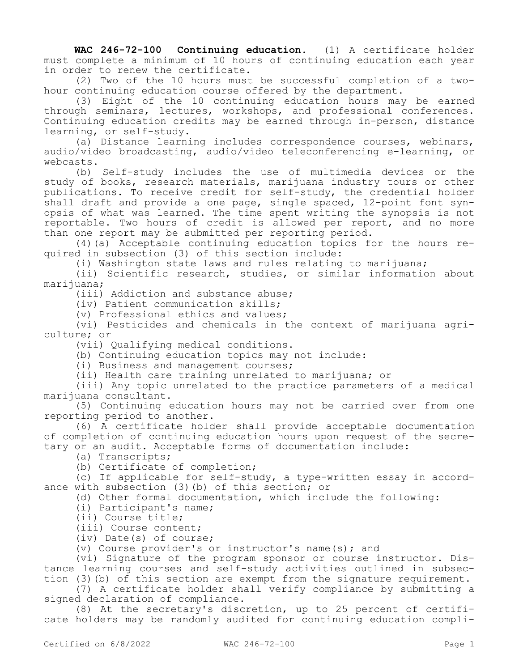**WAC 246-72-100 Continuing education.** (1) A certificate holder must complete a minimum of 10 hours of continuing education each year in order to renew the certificate.

(2) Two of the 10 hours must be successful completion of a twohour continuing education course offered by the department.

(3) Eight of the 10 continuing education hours may be earned through seminars, lectures, workshops, and professional conferences. Continuing education credits may be earned through in-person, distance learning, or self-study.

(a) Distance learning includes correspondence courses, webinars, audio/video broadcasting, audio/video teleconferencing e-learning, or webcasts.

(b) Self-study includes the use of multimedia devices or the study of books, research materials, marijuana industry tours or other publications. To receive credit for self-study, the credential holder shall draft and provide a one page, single spaced, 12-point font synopsis of what was learned. The time spent writing the synopsis is not reportable. Two hours of credit is allowed per report, and no more than one report may be submitted per reporting period.

(4)(a) Acceptable continuing education topics for the hours required in subsection (3) of this section include:

(i) Washington state laws and rules relating to marijuana;

(ii) Scientific research, studies, or similar information about marijuana;

(iii) Addiction and substance abuse;

(iv) Patient communication skills;

(v) Professional ethics and values;

(vi) Pesticides and chemicals in the context of marijuana agriculture; or

(vii) Qualifying medical conditions.

(b) Continuing education topics may not include:

(i) Business and management courses;

(ii) Health care training unrelated to marijuana; or

(iii) Any topic unrelated to the practice parameters of a medical marijuana consultant.

(5) Continuing education hours may not be carried over from one reporting period to another.

(6) A certificate holder shall provide acceptable documentation of completion of continuing education hours upon request of the secretary or an audit. Acceptable forms of documentation include:

(a) Transcripts;

(b) Certificate of completion;

(c) If applicable for self-study, a type-written essay in accordance with subsection (3)(b) of this section; or

(d) Other formal documentation, which include the following:

(i) Participant's name;

(ii) Course title;

(iii) Course content;

(iv) Date(s) of course;

(v) Course provider's or instructor's name(s); and

(vi) Signature of the program sponsor or course instructor. Distance learning courses and self-study activities outlined in subsection (3)(b) of this section are exempt from the signature requirement.

(7) A certificate holder shall verify compliance by submitting a signed declaration of compliance.

(8) At the secretary's discretion, up to 25 percent of certificate holders may be randomly audited for continuing education compli-